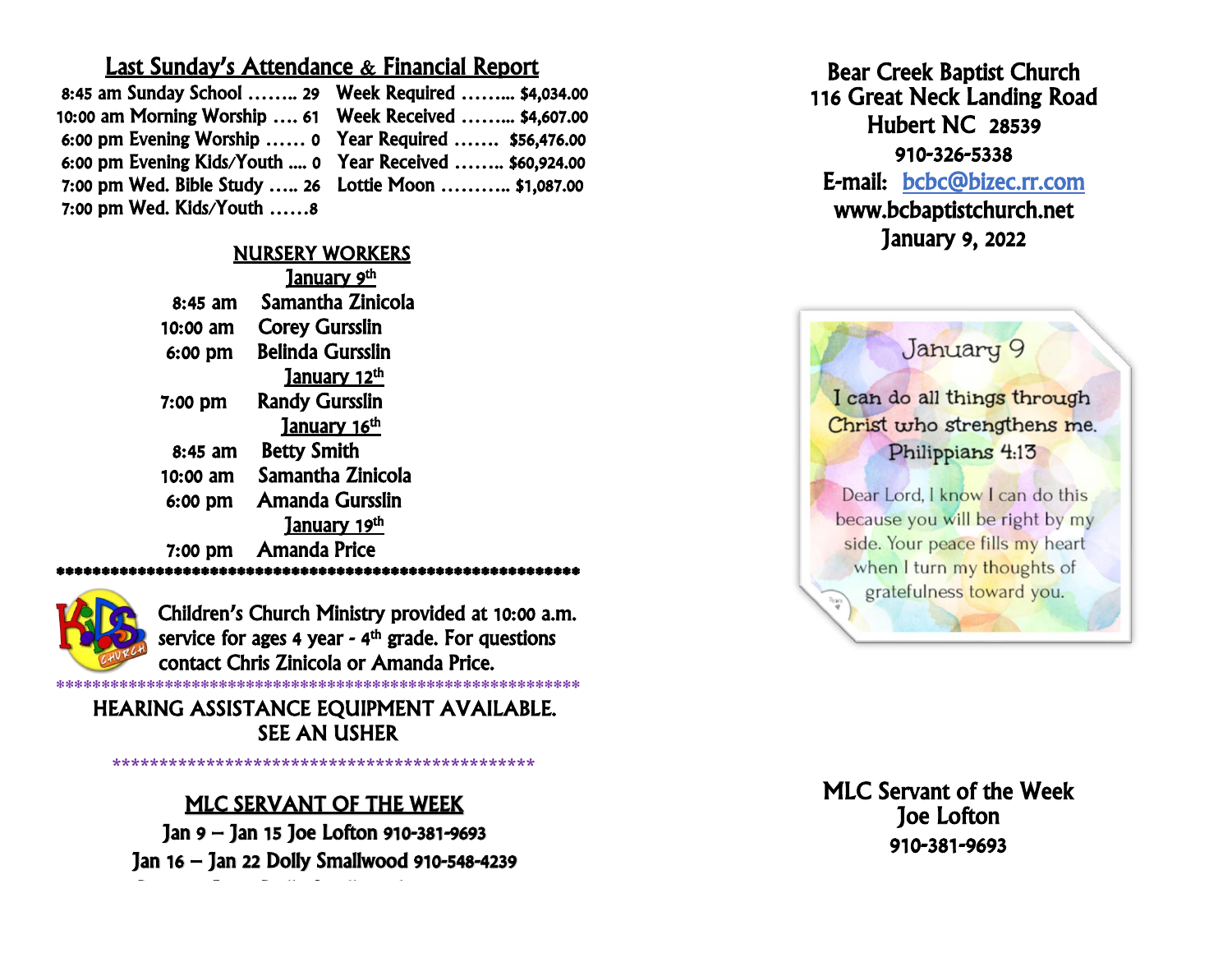## Last Sunday's Attendance & Financial Report

| 8:45 am Sunday School  29 Week Required  \$4,034.00      |  |
|----------------------------------------------------------|--|
|                                                          |  |
| 6:00 pm Evening Worship  0 Year Required  \$56,476.00    |  |
| 6:00 pm Evening Kids/Youth  0 Year Received  \$60,924.00 |  |
| 7:00 pm Wed. Bible Study  26 Lottie Moon  \$1,087.00     |  |
| 7:00 pm Wed. Kids/Youth 8                                |  |

## NURSERY WORKERS

|           | <u>January 9th</u>             |
|-----------|--------------------------------|
| 8:45 am   | Samantha Zinicola              |
| 10:00 am  | <b>Corey Gursslin</b>          |
| 6:00 pm   | <b>Belinda Gursslin</b>        |
|           | <u>January 12th</u>            |
| $7:00$ pm | <b>Randy Gursslin</b>          |
|           | January 16 <sup>th</sup>       |
| 8:45 am   | <b>Betty Smith</b>             |
| 10:00 am  | Samantha Zinicola              |
| 6:00 pm   | Amanda Gursslin                |
|           | <u>January 19<sup>th</sup></u> |
| 7:00 pm   | <b>Amanda Price</b>            |
|           |                                |



Children's Church Ministry provided at 10:00 a.m. service for ages 4 year - 4<sup>th</sup> grade. For questions contact Chris Zinicola or Amanda Price. \*\*\*\*\*\*\*\*\*\*\*\*\*\*\*\*\*\*\*\*\*\*\*\*\*\*\*\*\*\*\*\*\*\*\*\*\*\*\*\*\*\*\*\*\*\*\*\*\*\*\*\*\*\*\*\*\*\*

HEARING ASSISTANCE EQUIPMENT AVAILABLE. SEE AN USHER

# MLC SERVANT OF THE WEEK

**\*\*\*\*\*\*\*\*\*\*\*\*\*\*\*\*\*\*\*\*\*\*\*\*\*\*\*\*\*\*\*\*\*\*\*\*\*\*\*\*\*\*\*\*\***

Jan 9 – Jan 15 Joe Lofton 910-381-9693 Jan 16 – Jan 22 Dolly Smallwood 910-548-4239

Dec 26– Jan 2 Dolly Smallwood 910-548-4239

ï Bear Creek Baptist Church 116 Great Neck Landing Road Hubert NC 28539 910-326-5338 E-mail: [bcbc@bizec.rr.com](mailto:bcbc@bizec.rr.com)  www.bcbaptistchurch.net January 9, 2022

I can do all things through Christ who strengthens me. Philippians 4:13

January 9

Dear Lord, I know I can do this because you will be right by my side. Your peace fills my heart when I turn my thoughts of gratefulness toward you.  $v_{\rm max}$ 

J n vant or uit<br>Joe Lofton ں<br>م Ĭ MLC Servant of the Week 910-381-9693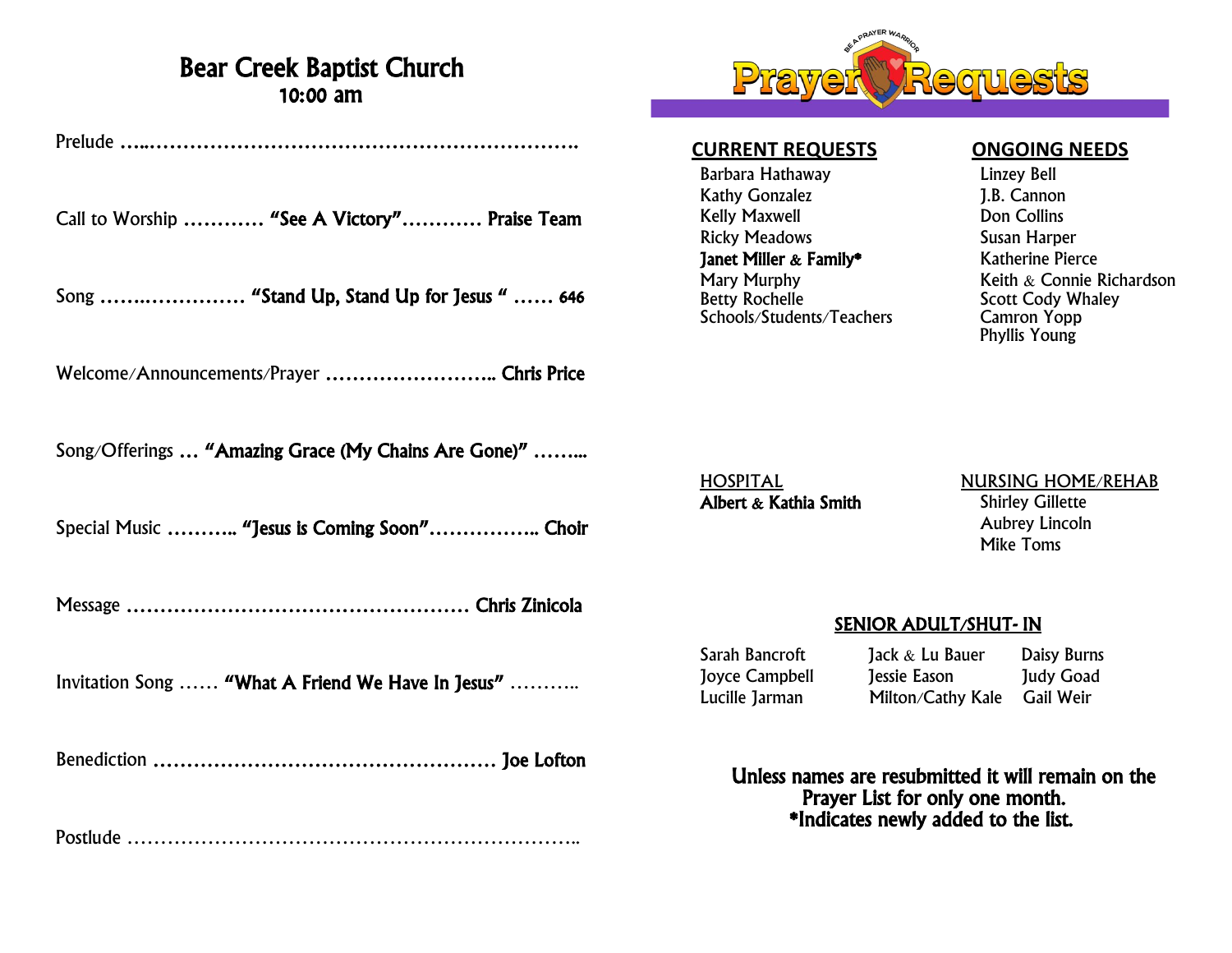## Bear Creek Baptist Church 10:00 am

Prelude …..……………………………………………………….

Call to Worship ………… "See A Victory"………… Praise Team

Song …….…………… "Stand Up, Stand Up for Jesus " …… 646

Welcome/Announcements/Prayer ................................ Chris Price

Song/Offerings ... "Amazing Grace (My Chains Are Gone)" .........

Special Music ……….. "Jesus is Coming Soon"…………….. Choir

Message …………………………………………… Chris Zinicola

Invitation Song …… "What A Friend We Have In Jesus" ………..

Benediction …………………………………………… Joe Lofton

Postlude …………………………………………………………..



### **CURRENT REQUESTS ONGOING NEEDS**

Barbara Hathaway Linzey Bell Kathy Gonzalez **J.B. Cannon** Kelly Maxwell **Don Collins** Ricky Meadows Susan Harper **Janet Miller & Family\*** Katherine Pierce<br>
Mary Murphy **Keith & Connie Formation** Schools/Students/Teachers

Mary Murphy<br>
Betty Rochelle<br>
Betty Rochelle<br>
Reserve Scott Cody Whaley Scott Cody Whaley<br>Camron Yopp Phyllis Young

Albert & Kathia Smith Shirley Gillette

## HOSPITAL NURSING HOME/REHAB Aubrey Lincoln Mike Toms

## SENIOR ADULT/SHUT- IN

Sarah Bancroft Jack & Lu Bauer Daisy Burns Joyce Campbell Jessie Eason Judy Goad Lucille Jarman Milton/Cathy Kale Gail Weir

 Unless names are resubmitted it will remain on the Prayer List for only one month. \*Indicates newly added to the list.